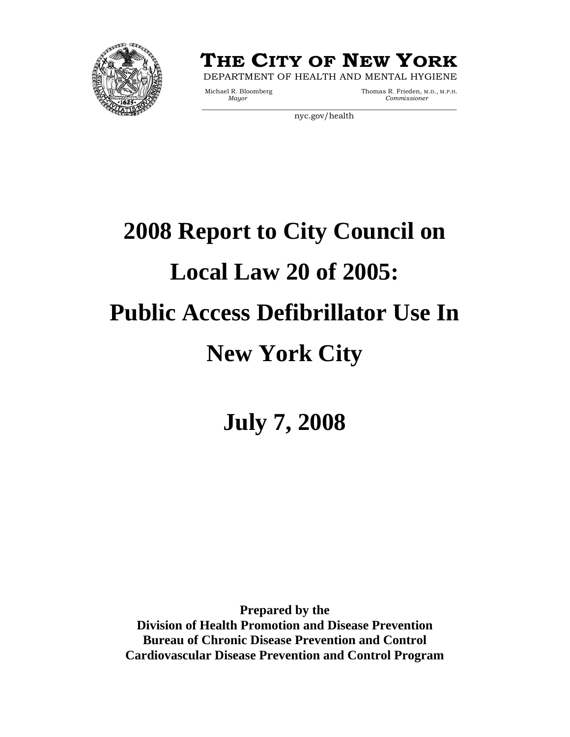



Michael R. Bloomberg Mayor Thomas R. Frieden, M.D., M.P.H.<br>Mayor Commissioner  $Commissioner$ 

nyc.gov/health

# **2008 Report to City Council on Local Law 20 of 2005: Public Access Defibrillator Use In New York City**

**July 7, 2008** 

**Prepared by the Division of Health Promotion and Disease Prevention Bureau of Chronic Disease Prevention and Control Cardiovascular Disease Prevention and Control Program**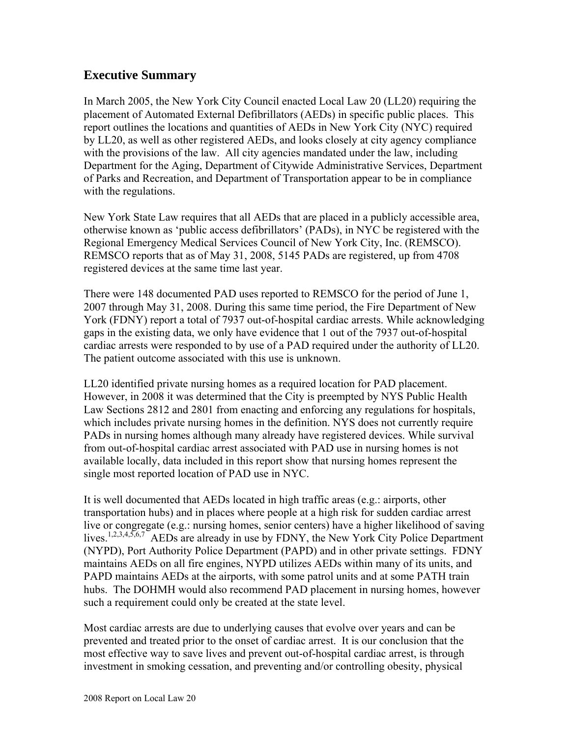# **Executive Summary**

In March 2005, the New York City Council enacted Local Law 20 (LL20) requiring the placement of Automated External Defibrillators (AEDs) in specific public places. This report outlines the locations and quantities of AEDs in New York City (NYC) required by LL20, as well as other registered AEDs, and looks closely at city agency compliance with the provisions of the law. All city agencies mandated under the law, including Department for the Aging, Department of Citywide Administrative Services, Department of Parks and Recreation, and Department of Transportation appear to be in compliance with the regulations.

New York State Law requires that all AEDs that are placed in a publicly accessible area, otherwise known as 'public access defibrillators' (PADs), in NYC be registered with the Regional Emergency Medical Services Council of New York City, Inc. (REMSCO). REMSCO reports that as of May 31, 2008, 5145 PADs are registered, up from 4708 registered devices at the same time last year.

There were 148 documented PAD uses reported to REMSCO for the period of June 1, 2007 through May 31, 2008. During this same time period, the Fire Department of New York (FDNY) report a total of 7937 out-of-hospital cardiac arrests. While acknowledging gaps in the existing data, we only have evidence that 1 out of the 7937 out-of-hospital cardiac arrests were responded to by use of a PAD required under the authority of LL20. The patient outcome associated with this use is unknown.

LL20 identified private nursing homes as a required location for PAD placement. However, in 2008 it was determined that the City is preempted by NYS Public Health Law Sections 2812 and 2801 from enacting and enforcing any regulations for hospitals, which includes private nursing homes in the definition. NYS does not currently require PADs in nursing homes although many already have registered devices. While survival from out-of-hospital cardiac arrest associated with PAD use in nursing homes is not available locally, data included in this report show that nursing homes represent the single most reported location of PAD use in NYC.

It is well documented that AEDs located in high traffic areas (e.g.: airports, other transportation hubs) and in places where people at a high risk for sudden cardiac arrest live or congregate (e.g.: nursing homes, senior centers) have a higher likelihood of saving lives.<sup>1,2,3,4,5,6,7</sup> AEDs are already in use by FDNY, the New York City Police Department (NYPD), Port Authority Police Department (PAPD) and in other private settings. FDNY maintains AEDs on all fire engines, NYPD utilizes AEDs within many of its units, and PAPD maintains AEDs at the airports, with some patrol units and at some PATH train hubs. The DOHMH would also recommend PAD placement in nursing homes, however such a requirement could only be created at the state level.

Most cardiac arrests are due to underlying causes that evolve over years and can be prevented and treated prior to the onset of cardiac arrest. It is our conclusion that the most effective way to save lives and prevent out-of-hospital cardiac arrest, is through investment in smoking cessation, and preventing and/or controlling obesity, physical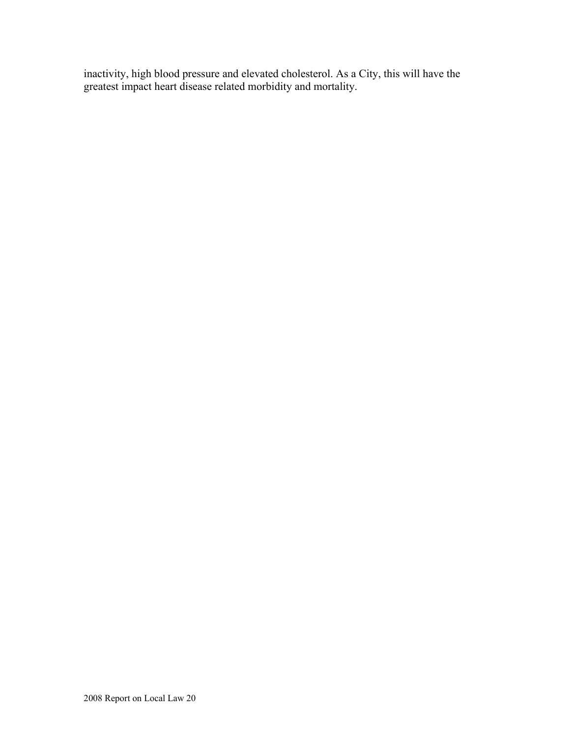inactivity, high blood pressure and elevated cholesterol. As a City, this will have the greatest impact heart disease related morbidity and mortality.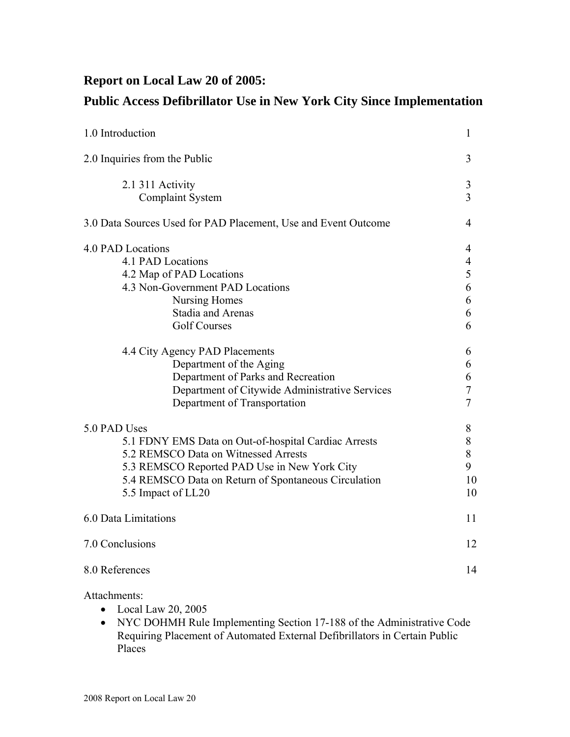# **Report on Local Law 20 of 2005:**

# **Public Access Defibrillator Use in New York City Since Implementation**

| 1.0 Introduction                                                                                                                                                                                                                                                                                                                                                       |                                                                                    |
|------------------------------------------------------------------------------------------------------------------------------------------------------------------------------------------------------------------------------------------------------------------------------------------------------------------------------------------------------------------------|------------------------------------------------------------------------------------|
| 2.0 Inquiries from the Public                                                                                                                                                                                                                                                                                                                                          | 3                                                                                  |
| 2.1 311 Activity<br><b>Complaint System</b>                                                                                                                                                                                                                                                                                                                            | 3<br>$\overline{3}$                                                                |
| 3.0 Data Sources Used for PAD Placement, Use and Event Outcome                                                                                                                                                                                                                                                                                                         | 4                                                                                  |
| 4.0 PAD Locations<br>4.1 PAD Locations<br>4.2 Map of PAD Locations<br>4.3 Non-Government PAD Locations<br><b>Nursing Homes</b><br><b>Stadia and Arenas</b><br><b>Golf Courses</b><br>4.4 City Agency PAD Placements<br>Department of the Aging<br>Department of Parks and Recreation<br>Department of Citywide Administrative Services<br>Department of Transportation | 4<br>4<br>5<br>6<br>6<br>6<br>6<br>6<br>6<br>6<br>$\overline{7}$<br>$\overline{7}$ |
| 5.0 PAD Uses<br>5.1 FDNY EMS Data on Out-of-hospital Cardiac Arrests<br>5.2 REMSCO Data on Witnessed Arrests<br>5.3 REMSCO Reported PAD Use in New York City<br>5.4 REMSCO Data on Return of Spontaneous Circulation<br>5.5 Impact of LL20                                                                                                                             | 8<br>8<br>8<br>9<br>10<br>10                                                       |
| 6.0 Data Limitations                                                                                                                                                                                                                                                                                                                                                   | 11                                                                                 |
| 7.0 Conclusions                                                                                                                                                                                                                                                                                                                                                        | 12                                                                                 |
| 8.0 References                                                                                                                                                                                                                                                                                                                                                         | 14                                                                                 |

#### Attachments:

- Local Law 20, 2005
- NYC DOHMH Rule Implementing Section 17-188 of the Administrative Code Requiring Placement of Automated External Defibrillators in Certain Public Places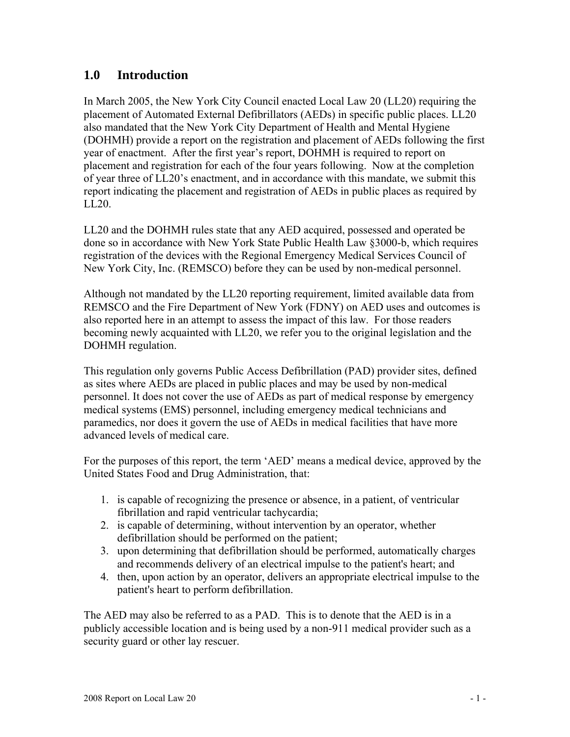# **1.0 Introduction**

In March 2005, the New York City Council enacted Local Law 20 (LL20) requiring the placement of Automated External Defibrillators (AEDs) in specific public places. LL20 also mandated that the New York City Department of Health and Mental Hygiene (DOHMH) provide a report on the registration and placement of AEDs following the first year of enactment. After the first year's report, DOHMH is required to report on placement and registration for each of the four years following. Now at the completion of year three of LL20's enactment, and in accordance with this mandate, we submit this report indicating the placement and registration of AEDs in public places as required by LL20.

LL20 and the DOHMH rules state that any AED acquired, possessed and operated be done so in accordance with New York State Public Health Law §3000-b, which requires registration of the devices with the Regional Emergency Medical Services Council of New York City, Inc. (REMSCO) before they can be used by non-medical personnel.

Although not mandated by the LL20 reporting requirement, limited available data from REMSCO and the Fire Department of New York (FDNY) on AED uses and outcomes is also reported here in an attempt to assess the impact of this law. For those readers becoming newly acquainted with LL20, we refer you to the original legislation and the DOHMH regulation.

This regulation only governs Public Access Defibrillation (PAD) provider sites, defined as sites where AEDs are placed in public places and may be used by non-medical personnel. It does not cover the use of AEDs as part of medical response by emergency medical systems (EMS) personnel, including emergency medical technicians and paramedics, nor does it govern the use of AEDs in medical facilities that have more advanced levels of medical care.

For the purposes of this report, the term 'AED' means a medical device, approved by the United States Food and Drug Administration, that:

- 1. is capable of recognizing the presence or absence, in a patient, of ventricular fibrillation and rapid ventricular tachycardia;
- 2. is capable of determining, without intervention by an operator, whether defibrillation should be performed on the patient;
- 3. upon determining that defibrillation should be performed, automatically charges and recommends delivery of an electrical impulse to the patient's heart; and
- 4. then, upon action by an operator, delivers an appropriate electrical impulse to the patient's heart to perform defibrillation.

The AED may also be referred to as a PAD. This is to denote that the AED is in a publicly accessible location and is being used by a non-911 medical provider such as a security guard or other lay rescuer.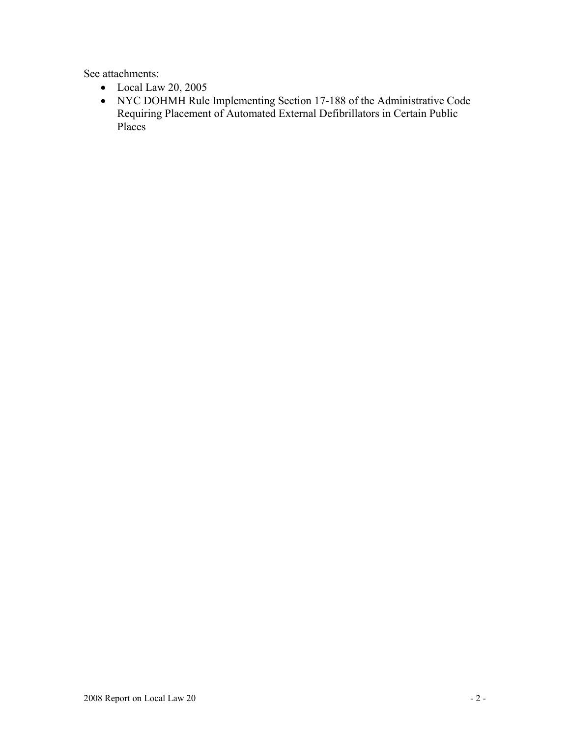See attachments:

- Local Law 20, 2005
- NYC DOHMH Rule Implementing Section 17-188 of the Administrative Code Requiring Placement of Automated External Defibrillators in Certain Public Places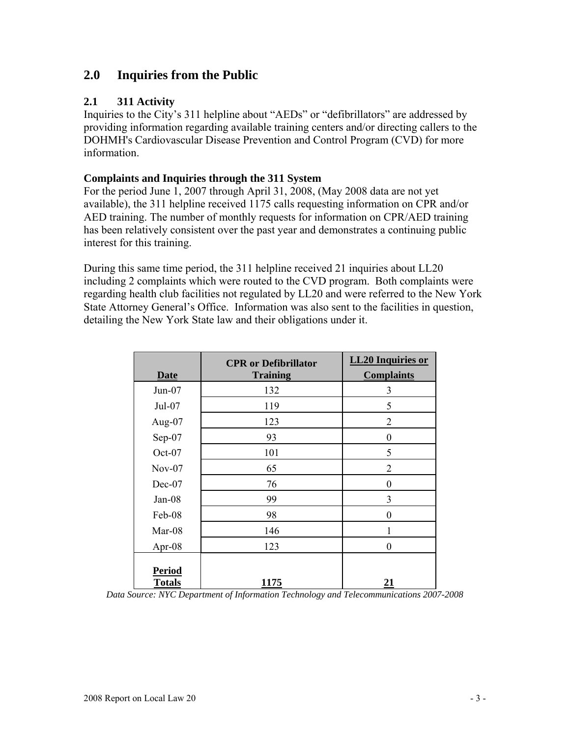# **2.0 Inquiries from the Public**

#### **2.1 311 Activity**

Inquiries to the City's 311 helpline about "AEDs" or "defibrillators" are addressed by providing information regarding available training centers and/or directing callers to the DOHMH's Cardiovascular Disease Prevention and Control Program (CVD) for more information.

#### **Complaints and Inquiries through the 311 System**

For the period June 1, 2007 through April 31, 2008, (May 2008 data are not yet available), the 311 helpline received 1175 calls requesting information on CPR and/or AED training. The number of monthly requests for information on CPR/AED training has been relatively consistent over the past year and demonstrates a continuing public interest for this training.

During this same time period, the 311 helpline received 21 inquiries about LL20 including 2 complaints which were routed to the CVD program. Both complaints were regarding health club facilities not regulated by LL20 and were referred to the New York State Attorney General's Office. Information was also sent to the facilities in question, detailing the New York State law and their obligations under it.

| <b>Date</b>                    | <b>CPR</b> or Defibrillator<br><b>Training</b> | <b>LL20</b> Inquiries or<br><b>Complaints</b> |
|--------------------------------|------------------------------------------------|-----------------------------------------------|
| $Jun-07$                       | 132                                            | 3                                             |
| $Jul-07$                       | 119                                            | 5                                             |
| Aug- $07$                      | 123                                            | $\overline{2}$                                |
| Sep-07                         | 93                                             | $\overline{0}$                                |
| $Oct-07$                       | 101                                            | 5                                             |
| $Nov-07$                       | 65                                             | $\overline{2}$                                |
| $Dec-07$                       | 76                                             | $\boldsymbol{0}$                              |
| Jan-08                         | 99                                             | 3                                             |
| Feb-08                         | 98                                             | $\theta$                                      |
| Mar-08                         | 146                                            | 1                                             |
| Apr-08                         | 123                                            | $\theta$                                      |
| <b>Period</b><br><b>Totals</b> | 1175                                           | 21                                            |

*Data Source: NYC Department of Information Technology and Telecommunications 2007-2008*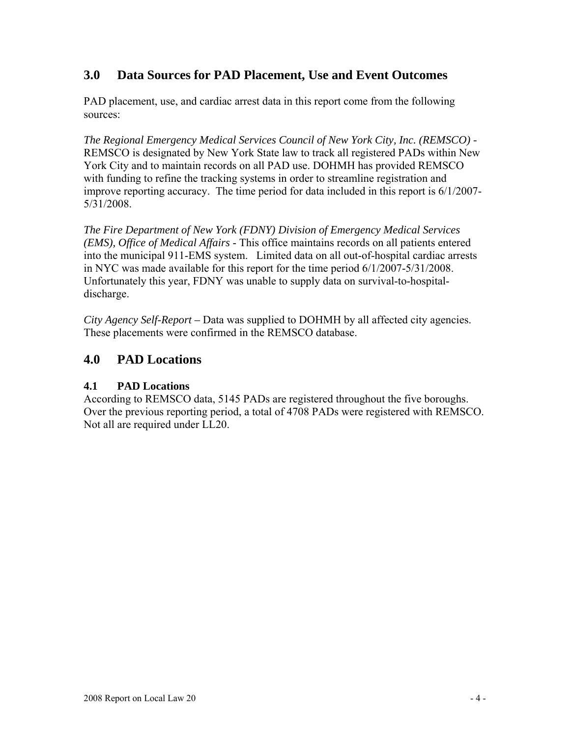# **3.0 Data Sources for PAD Placement, Use and Event Outcomes**

PAD placement, use, and cardiac arrest data in this report come from the following sources:

*The Regional Emergency Medical Services Council of New York City, Inc. (REMSCO) -*  REMSCO is designated by New York State law to track all registered PADs within New York City and to maintain records on all PAD use. DOHMH has provided REMSCO with funding to refine the tracking systems in order to streamline registration and improve reporting accuracy. The time period for data included in this report is 6/1/2007- 5/31/2008.

*The Fire Department of New York (FDNY) Division of Emergency Medical Services (EMS), Office of Medical Affairs* - This office maintains records on all patients entered into the municipal 911-EMS system. Limited data on all out-of-hospital cardiac arrests in NYC was made available for this report for the time period 6/1/2007-5/31/2008. Unfortunately this year, FDNY was unable to supply data on survival-to-hospitaldischarge.

*City Agency Self-Report –* Data was supplied to DOHMH by all affected city agencies. These placements were confirmed in the REMSCO database.

# **4.0 PAD Locations**

# **4.1 PAD Locations**

According to REMSCO data, 5145 PADs are registered throughout the five boroughs. Over the previous reporting period, a total of 4708 PADs were registered with REMSCO. Not all are required under LL20.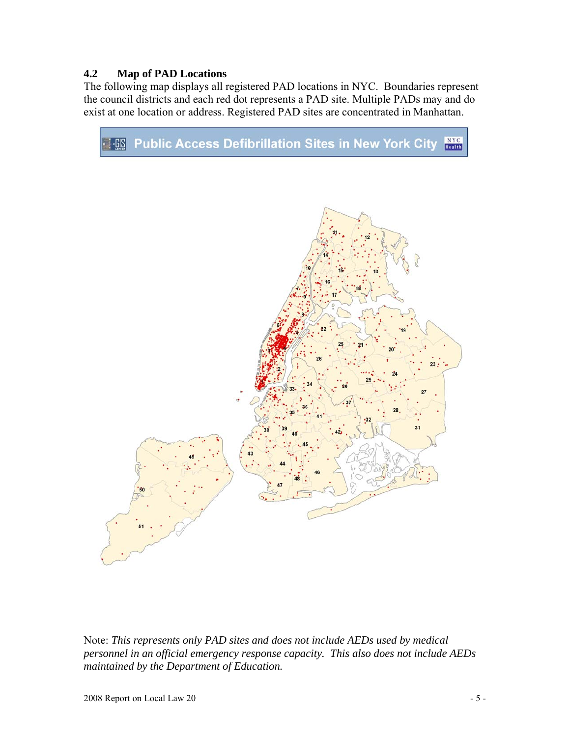#### **4.2 Map of PAD Locations**

The following map displays all registered PAD locations in NYC. Boundaries represent the council districts and each red dot represents a PAD site. Multiple PADs may and do exist at one location or address. Registered PAD sites are concentrated in Manhattan.



Note: *This represents only PAD sites and does not include AEDs used by medical personnel in an official emergency response capacity. This also does not include AEDs maintained by the Department of Education.*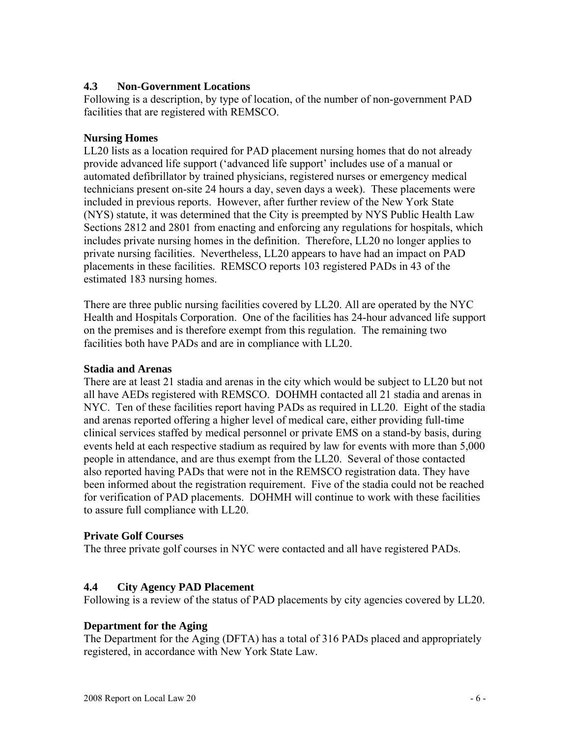#### **4.3 Non-Government Locations**

Following is a description, by type of location, of the number of non-government PAD facilities that are registered with REMSCO.

#### **Nursing Homes**

LL20 lists as a location required for PAD placement nursing homes that do not already provide advanced life support ('advanced life support' includes use of a manual or automated defibrillator by trained physicians, registered nurses or emergency medical technicians present on-site 24 hours a day, seven days a week). These placements were included in previous reports. However, after further review of the New York State (NYS) statute, it was determined that the City is preempted by NYS Public Health Law Sections 2812 and 2801 from enacting and enforcing any regulations for hospitals, which includes private nursing homes in the definition. Therefore, LL20 no longer applies to private nursing facilities. Nevertheless, LL20 appears to have had an impact on PAD placements in these facilities. REMSCO reports 103 registered PADs in 43 of the estimated 183 nursing homes.

There are three public nursing facilities covered by LL20. All are operated by the NYC Health and Hospitals Corporation. One of the facilities has 24-hour advanced life support on the premises and is therefore exempt from this regulation. The remaining two facilities both have PADs and are in compliance with LL20.

#### **Stadia and Arenas**

There are at least 21 stadia and arenas in the city which would be subject to LL20 but not all have AEDs registered with REMSCO. DOHMH contacted all 21 stadia and arenas in NYC. Ten of these facilities report having PADs as required in LL20. Eight of the stadia and arenas reported offering a higher level of medical care, either providing full-time clinical services staffed by medical personnel or private EMS on a stand-by basis, during events held at each respective stadium as required by law for events with more than 5,000 people in attendance, and are thus exempt from the LL20. Several of those contacted also reported having PADs that were not in the REMSCO registration data. They have been informed about the registration requirement. Five of the stadia could not be reached for verification of PAD placements. DOHMH will continue to work with these facilities to assure full compliance with LL20.

#### **Private Golf Courses**

The three private golf courses in NYC were contacted and all have registered PADs.

#### **4.4 City Agency PAD Placement**

Following is a review of the status of PAD placements by city agencies covered by LL20.

#### **Department for the Aging**

The Department for the Aging (DFTA) has a total of 316 PADs placed and appropriately registered, in accordance with New York State Law.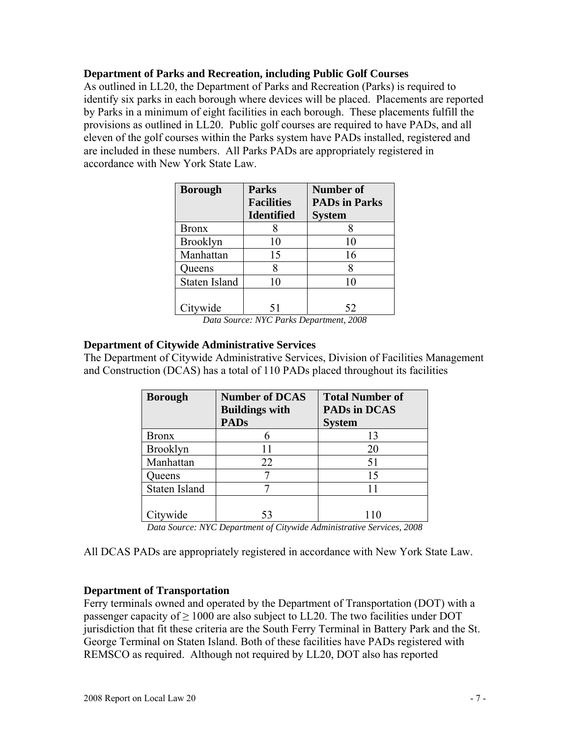#### **Department of Parks and Recreation, including Public Golf Courses**

As outlined in LL20, the Department of Parks and Recreation (Parks) is required to identify six parks in each borough where devices will be placed. Placements are reported by Parks in a minimum of eight facilities in each borough. These placements fulfill the provisions as outlined in LL20. Public golf courses are required to have PADs, and all eleven of the golf courses within the Parks system have PADs installed, registered and are included in these numbers. All Parks PADs are appropriately registered in accordance with New York State Law.

| <b>Borough</b>  | <b>Parks</b>      | Number of            |
|-----------------|-------------------|----------------------|
|                 | <b>Facilities</b> | <b>PADs in Parks</b> |
|                 | <b>Identified</b> | <b>System</b>        |
| <b>Bronx</b>    |                   |                      |
| <b>Brooklyn</b> | 10                | 10                   |
| Manhattan       | 15                | 16                   |
| Queens          |                   |                      |
| Staten Island   | 10                | 10                   |
|                 |                   |                      |
| Citywide        | 51                | 52                   |

*Data Source: NYC Parks Department, 2008* 

#### **Department of Citywide Administrative Services**

The Department of Citywide Administrative Services, Division of Facilities Management and Construction (DCAS) has a total of 110 PADs placed throughout its facilities

| <b>Borough</b>  | <b>Number of DCAS</b><br><b>Buildings with</b><br><b>PADs</b> | <b>Total Number of</b><br><b>PADs in DCAS</b><br><b>System</b> |
|-----------------|---------------------------------------------------------------|----------------------------------------------------------------|
| <b>Bronx</b>    |                                                               | 13                                                             |
| <b>Brooklyn</b> |                                                               | 20                                                             |
| Manhattan       | 22                                                            | 51                                                             |
| Queens          |                                                               | 15                                                             |
| Staten Island   |                                                               |                                                                |
|                 |                                                               |                                                                |
| wide            | 53                                                            |                                                                |

*Data Source: NYC Department of Citywide Administrative Services, 2008* 

All DCAS PADs are appropriately registered in accordance with New York State Law.

#### **Department of Transportation**

Ferry terminals owned and operated by the Department of Transportation (DOT) with a passenger capacity of  $\geq 1000$  are also subject to LL20. The two facilities under DOT jurisdiction that fit these criteria are the South Ferry Terminal in Battery Park and the St. George Terminal on Staten Island. Both of these facilities have PADs registered with REMSCO as required. Although not required by LL20, DOT also has reported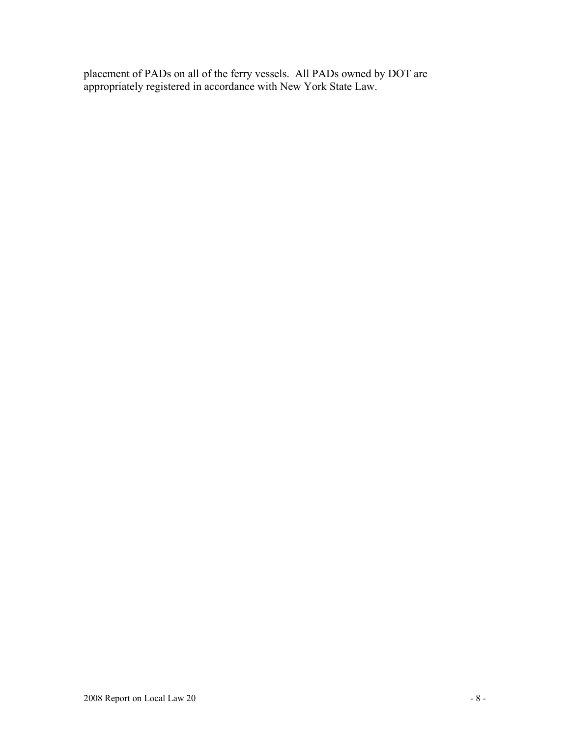placement of PADs on all of the ferry vessels. All PADs owned by DOT are appropriately registered in accordance with New York State Law.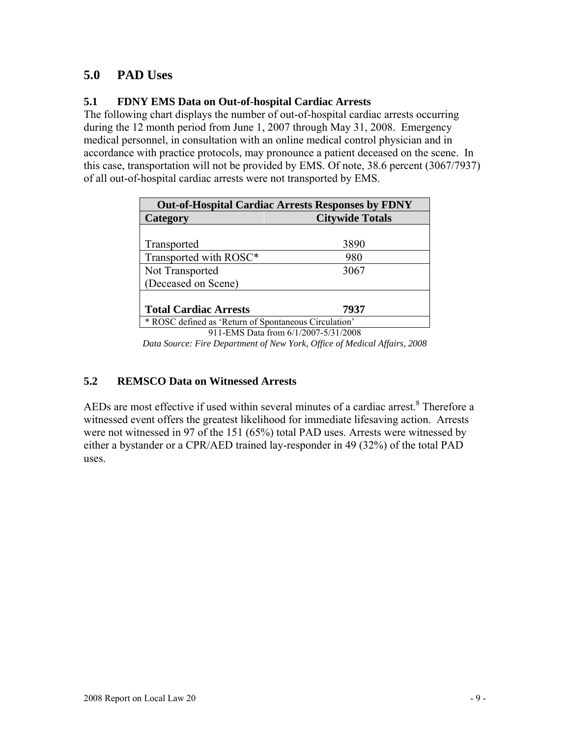# **5.0 PAD Uses**

### **5.1 FDNY EMS Data on Out-of-hospital Cardiac Arrests**

The following chart displays the number of out-of-hospital cardiac arrests occurring during the 12 month period from June 1, 2007 through May 31, 2008. Emergency medical personnel, in consultation with an online medical control physician and in accordance with practice protocols, may pronounce a patient deceased on the scene. In this case, transportation will not be provided by EMS. Of note, 38.6 percent (3067/7937) of all out-of-hospital cardiac arrests were not transported by EMS.

| <b>Citywide Totals</b>                                |  |  |
|-------------------------------------------------------|--|--|
|                                                       |  |  |
| 3890                                                  |  |  |
| 980                                                   |  |  |
| 3067                                                  |  |  |
|                                                       |  |  |
|                                                       |  |  |
| 7937                                                  |  |  |
| * ROSC defined as 'Return of Spontaneous Circulation' |  |  |
| $0.11$ FMC D <sub>11</sub> , $0.1$ (1.0007 $5.01$ )   |  |  |

911-EMS Data from 6/1/2007-5/31/2008 *Data Source: Fire Department of New York, Office of Medical Affairs, 2008* 

# **5.2 REMSCO Data on Witnessed Arrests**

AEDs are most effective if used within several minutes of a cardiac arrest.<sup>8</sup> Therefore a witnessed event offers the greatest likelihood for immediate lifesaving action. Arrests were not witnessed in 97 of the 151 (65%) total PAD uses. Arrests were witnessed by either a bystander or a CPR/AED trained lay-responder in 49 (32%) of the total PAD uses.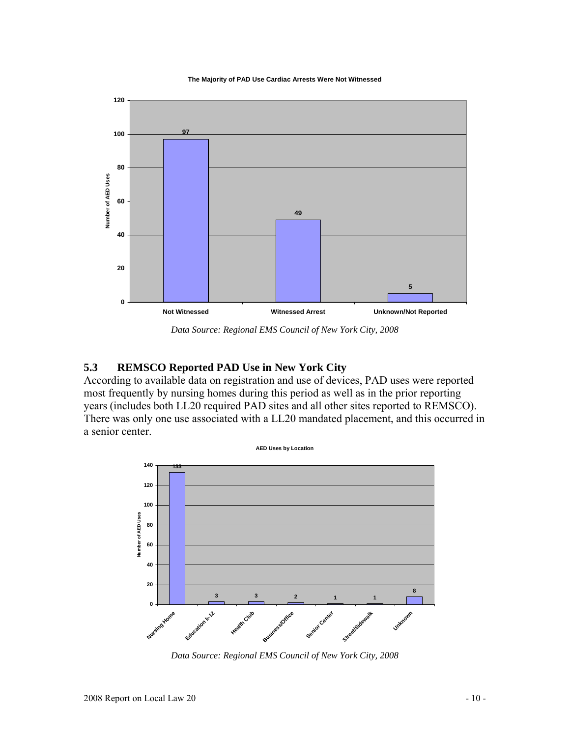#### **The Majority of PAD Use Cardiac Arrests Were Not Witnessed**



*Data Source: Regional EMS Council of New York City, 2008* 

#### **5.3 REMSCO Reported PAD Use in New York City**

According to available data on registration and use of devices, PAD uses were reported most frequently by nursing homes during this period as well as in the prior reporting years (includes both LL20 required PAD sites and all other sites reported to REMSCO). There was only one use associated with a LL20 mandated placement, and this occurred in a senior center.



*Data Source: Regional EMS Council of New York City, 2008*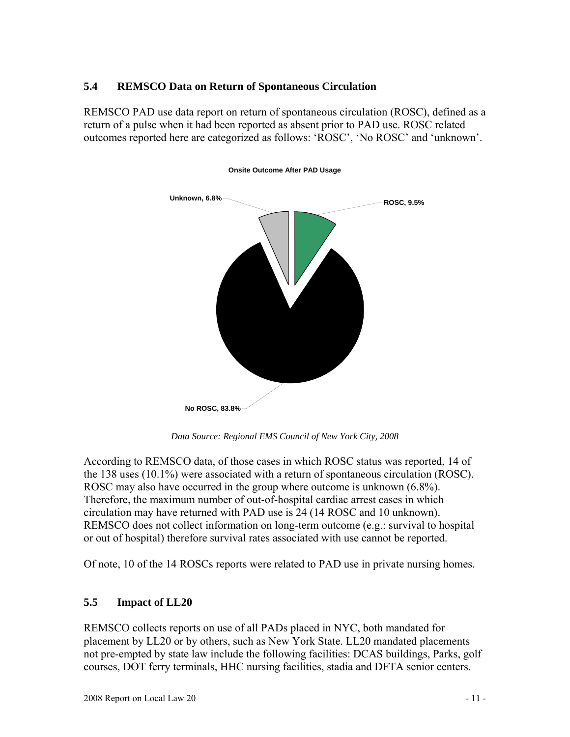#### **5.4 REMSCO Data on Return of Spontaneous Circulation**

REMSCO PAD use data report on return of spontaneous circulation (ROSC), defined as a return of a pulse when it had been reported as absent prior to PAD use. ROSC related outcomes reported here are categorized as follows: 'ROSC', 'No ROSC' and 'unknown'.



**Onsite Outcome After PAD Usage**

*Data Source: Regional EMS Council of New York City, 2008* 

According to REMSCO data, of those cases in which ROSC status was reported, 14 of the 138 uses (10.1%) were associated with a return of spontaneous circulation (ROSC). ROSC may also have occurred in the group where outcome is unknown (6.8%). Therefore, the maximum number of out-of-hospital cardiac arrest cases in which circulation may have returned with PAD use is 24 (14 ROSC and 10 unknown). REMSCO does not collect information on long-term outcome (e.g.: survival to hospital or out of hospital) therefore survival rates associated with use cannot be reported.

Of note, 10 of the 14 ROSCs reports were related to PAD use in private nursing homes.

#### **5.5 Impact of LL20**

REMSCO collects reports on use of all PADs placed in NYC, both mandated for placement by LL20 or by others, such as New York State. LL20 mandated placements not pre-empted by state law include the following facilities: DCAS buildings, Parks, golf courses, DOT ferry terminals, HHC nursing facilities, stadia and DFTA senior centers.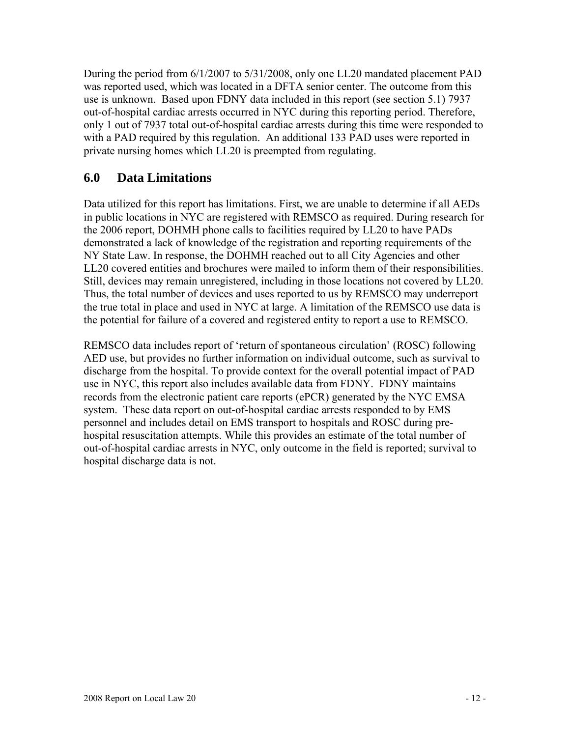During the period from 6/1/2007 to 5/31/2008, only one LL20 mandated placement PAD was reported used, which was located in a DFTA senior center. The outcome from this use is unknown. Based upon FDNY data included in this report (see section 5.1) 7937 out-of-hospital cardiac arrests occurred in NYC during this reporting period. Therefore, only 1 out of 7937 total out-of-hospital cardiac arrests during this time were responded to with a PAD required by this regulation. An additional 133 PAD uses were reported in private nursing homes which LL20 is preempted from regulating.

# **6.0 Data Limitations**

Data utilized for this report has limitations. First, we are unable to determine if all AEDs in public locations in NYC are registered with REMSCO as required. During research for the 2006 report, DOHMH phone calls to facilities required by LL20 to have PADs demonstrated a lack of knowledge of the registration and reporting requirements of the NY State Law. In response, the DOHMH reached out to all City Agencies and other LL20 covered entities and brochures were mailed to inform them of their responsibilities. Still, devices may remain unregistered, including in those locations not covered by LL20. Thus, the total number of devices and uses reported to us by REMSCO may underreport the true total in place and used in NYC at large. A limitation of the REMSCO use data is the potential for failure of a covered and registered entity to report a use to REMSCO.

REMSCO data includes report of 'return of spontaneous circulation' (ROSC) following AED use, but provides no further information on individual outcome, such as survival to discharge from the hospital. To provide context for the overall potential impact of PAD use in NYC, this report also includes available data from FDNY. FDNY maintains records from the electronic patient care reports (ePCR) generated by the NYC EMSA system. These data report on out-of-hospital cardiac arrests responded to by EMS personnel and includes detail on EMS transport to hospitals and ROSC during prehospital resuscitation attempts. While this provides an estimate of the total number of out-of-hospital cardiac arrests in NYC, only outcome in the field is reported; survival to hospital discharge data is not.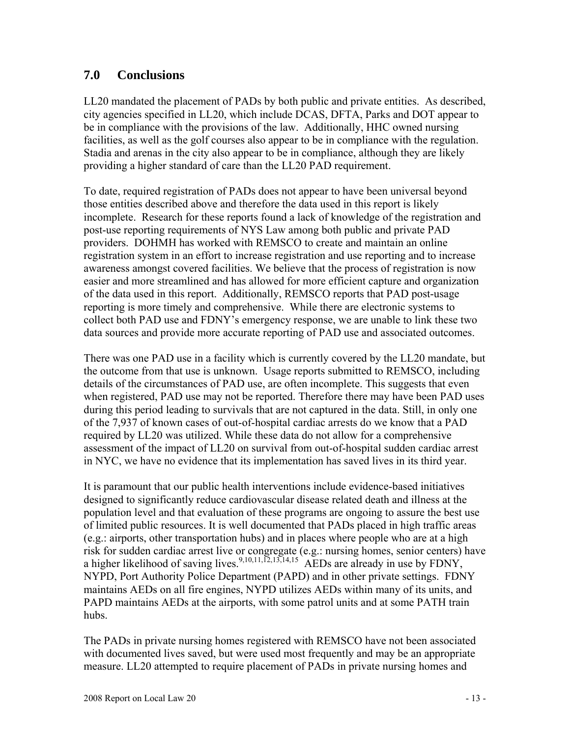# **7.0 Conclusions**

LL20 mandated the placement of PADs by both public and private entities. As described, city agencies specified in LL20, which include DCAS, DFTA, Parks and DOT appear to be in compliance with the provisions of the law. Additionally, HHC owned nursing facilities, as well as the golf courses also appear to be in compliance with the regulation. Stadia and arenas in the city also appear to be in compliance, although they are likely providing a higher standard of care than the LL20 PAD requirement.

To date, required registration of PADs does not appear to have been universal beyond those entities described above and therefore the data used in this report is likely incomplete. Research for these reports found a lack of knowledge of the registration and post-use reporting requirements of NYS Law among both public and private PAD providers. DOHMH has worked with REMSCO to create and maintain an online registration system in an effort to increase registration and use reporting and to increase awareness amongst covered facilities. We believe that the process of registration is now easier and more streamlined and has allowed for more efficient capture and organization of the data used in this report. Additionally, REMSCO reports that PAD post-usage reporting is more timely and comprehensive. While there are electronic systems to collect both PAD use and FDNY's emergency response, we are unable to link these two data sources and provide more accurate reporting of PAD use and associated outcomes.

There was one PAD use in a facility which is currently covered by the LL20 mandate, but the outcome from that use is unknown. Usage reports submitted to REMSCO, including details of the circumstances of PAD use, are often incomplete. This suggests that even when registered, PAD use may not be reported. Therefore there may have been PAD uses during this period leading to survivals that are not captured in the data. Still, in only one of the 7,937 of known cases of out-of-hospital cardiac arrests do we know that a PAD required by LL20 was utilized. While these data do not allow for a comprehensive assessment of the impact of LL20 on survival from out-of-hospital sudden cardiac arrest in NYC, we have no evidence that its implementation has saved lives in its third year.

It is paramount that our public health interventions include evidence-based initiatives designed to significantly reduce cardiovascular disease related death and illness at the population level and that evaluation of these programs are ongoing to assure the best use of limited public resources. It is well documented that PADs placed in high traffic areas (e.g.: airports, other transportation hubs) and in places where people who are at a high risk for sudden cardiac arrest live or congregate (e.g.: nursing homes, senior centers) have a higher likelihood of saving lives.<sup>9,10,11,12,13,14,15</sup> AEDs are already in use by FDNY, NYPD, Port Authority Police Department (PAPD) and in other private settings. FDNY maintains AEDs on all fire engines, NYPD utilizes AEDs within many of its units, and PAPD maintains AEDs at the airports, with some patrol units and at some PATH train hubs.

The PADs in private nursing homes registered with REMSCO have not been associated with documented lives saved, but were used most frequently and may be an appropriate measure. LL20 attempted to require placement of PADs in private nursing homes and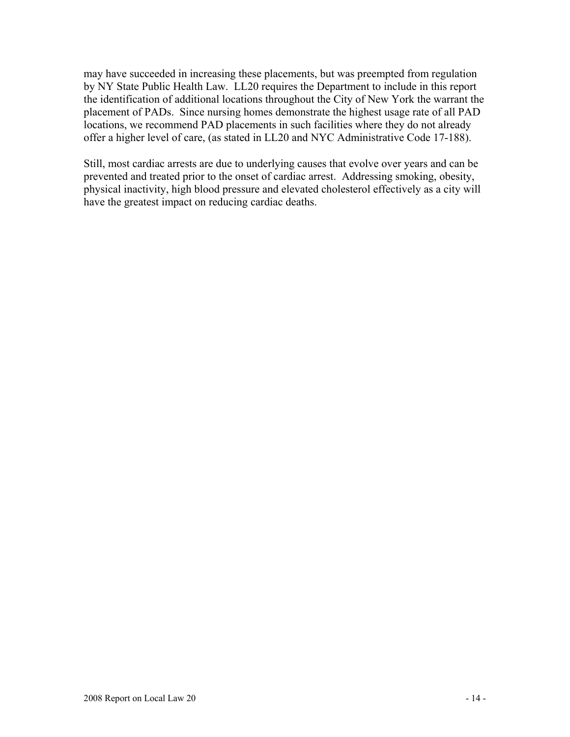may have succeeded in increasing these placements, but was preempted from regulation by NY State Public Health Law. LL20 requires the Department to include in this report the identification of additional locations throughout the City of New York the warrant the placement of PADs. Since nursing homes demonstrate the highest usage rate of all PAD locations, we recommend PAD placements in such facilities where they do not already offer a higher level of care, (as stated in LL20 and NYC Administrative Code 17-188).

Still, most cardiac arrests are due to underlying causes that evolve over years and can be prevented and treated prior to the onset of cardiac arrest. Addressing smoking, obesity, physical inactivity, high blood pressure and elevated cholesterol effectively as a city will have the greatest impact on reducing cardiac deaths.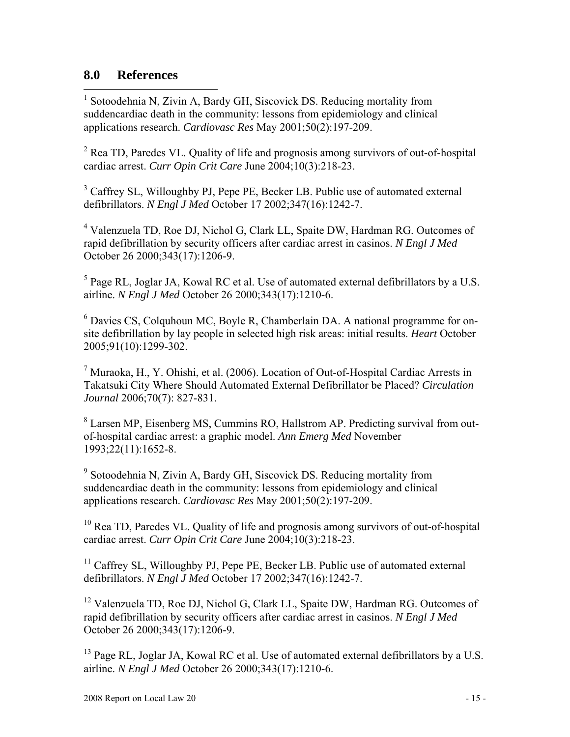# **8.0 References**

 $\overline{a}$ <sup>1</sup> Sotoodehnia N, Zivin A, Bardy GH, Siscovick DS. Reducing mortality from suddencardiac death in the community: lessons from epidemiology and clinical applications research. *Cardiovasc Res* May 2001;50(2):197-209.

 $2^2$  Rea TD, Paredes VL. Quality of life and prognosis among survivors of out-of-hospital cardiac arrest. *Curr Opin Crit Care* June 2004;10(3):218-23.

<sup>3</sup> Caffrey SL, Willoughby PJ, Pepe PE, Becker LB. Public use of automated external defibrillators. *N Engl J Med* October 17 2002;347(16):1242-7.

<sup>4</sup> Valenzuela TD, Roe DJ, Nichol G, Clark LL, Spaite DW, Hardman RG. Outcomes of rapid defibrillation by security officers after cardiac arrest in casinos. *N Engl J Med* October 26 2000;343(17):1206-9.

 $<sup>5</sup>$  Page RL, Joglar JA, Kowal RC et al. Use of automated external defibrillators by a U.S.</sup> airline. *N Engl J Med* October 26 2000;343(17):1210-6.

<sup>6</sup> Davies CS, Colquhoun MC, Boyle R, Chamberlain DA. A national programme for onsite defibrillation by lay people in selected high risk areas: initial results. *Heart* October 2005;91(10):1299-302.

<sup>7</sup> Muraoka, H., Y. Ohishi, et al. (2006). Location of Out-of-Hospital Cardiac Arrests in Takatsuki City Where Should Automated External Defibrillator be Placed? *Circulation Journal* 2006;70(7): 827-831.

<sup>8</sup> Larsen MP, Eisenberg MS, Cummins RO, Hallstrom AP. Predicting survival from outof-hospital cardiac arrest: a graphic model. *Ann Emerg Med* November 1993;22(11):1652-8.

<sup>9</sup> Sotoodehnia N, Zivin A, Bardy GH, Siscovick DS. Reducing mortality from suddencardiac death in the community: lessons from epidemiology and clinical applications research. *Cardiovasc Res* May 2001;50(2):197-209.

<sup>10</sup> Rea TD, Paredes VL. Quality of life and prognosis among survivors of out-of-hospital cardiac arrest. *Curr Opin Crit Care* June 2004;10(3):218-23.

<sup>11</sup> Caffrey SL, Willoughby PJ, Pepe PE, Becker LB. Public use of automated external defibrillators. *N Engl J Med* October 17 2002;347(16):1242-7.

<sup>12</sup> Valenzuela TD, Roe DJ, Nichol G, Clark LL, Spaite DW, Hardman RG. Outcomes of rapid defibrillation by security officers after cardiac arrest in casinos. *N Engl J Med* October 26 2000;343(17):1206-9.

<sup>13</sup> Page RL, Joglar JA, Kowal RC et al. Use of automated external defibrillators by a U.S. airline. *N Engl J Med* October 26 2000;343(17):1210-6.